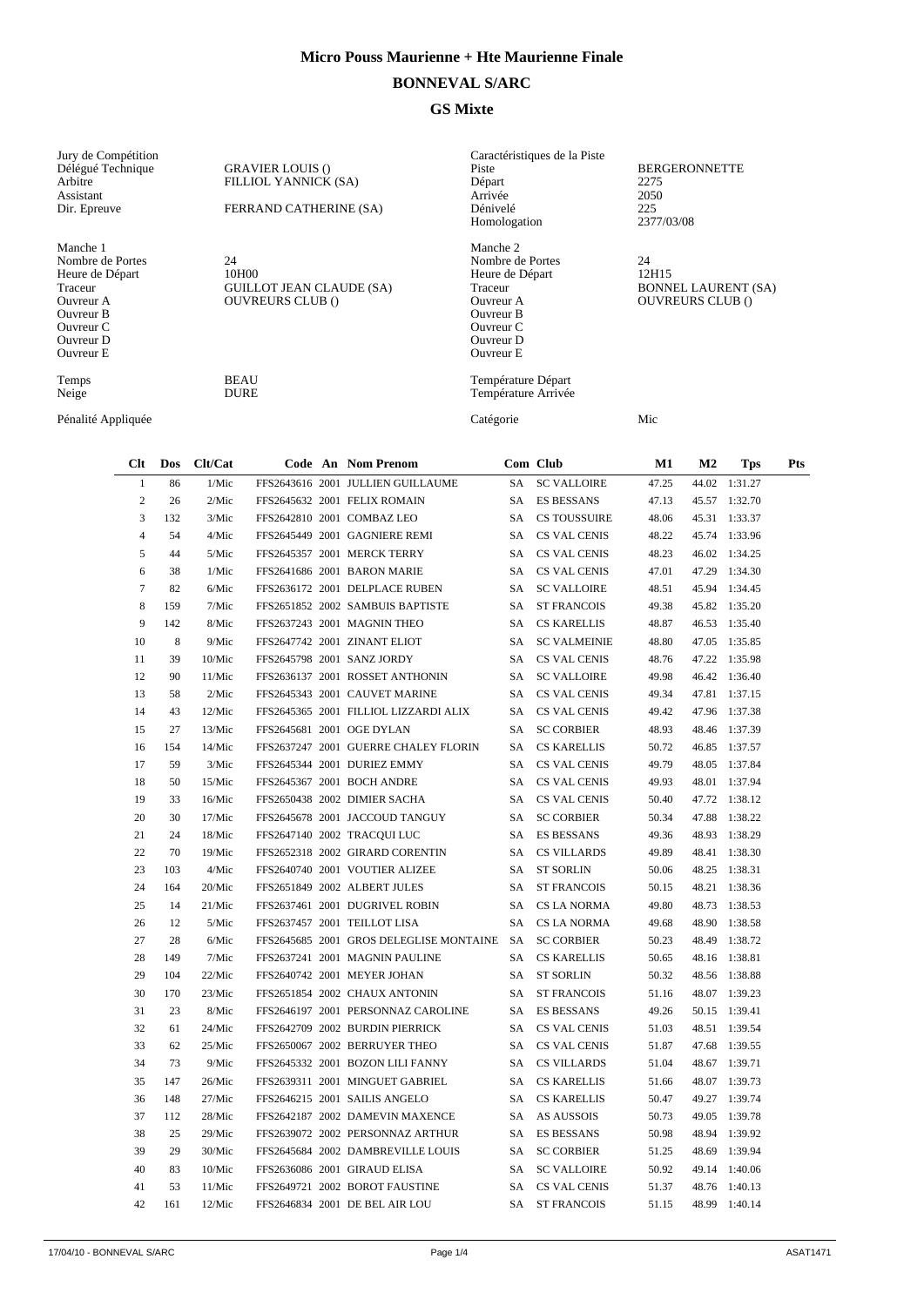## **BONNEVAL S/ARC**

## **GS Mixte**

| Jury de Compétition<br>Délégué Technique<br>Arbitre<br>Assistant<br>Dir. Epreuve                                            |                |     |             | <b>GRAVIER LOUIS ()</b><br>FILLIOL YANNICK (SA)<br>FERRAND CATHERINE (SA) |           |                                           | Caractéristiques de la Piste<br>Piste<br>Départ<br>Arrivée<br>Dénivelé<br>Homologation                                      | <b>BERGERONNETTE</b><br>2275<br>2050<br>225<br>2377/03/08            |       |                |               |     |
|-----------------------------------------------------------------------------------------------------------------------------|----------------|-----|-------------|---------------------------------------------------------------------------|-----------|-------------------------------------------|-----------------------------------------------------------------------------------------------------------------------------|----------------------------------------------------------------------|-------|----------------|---------------|-----|
| Manche 1<br>Nombre de Portes<br>Heure de Départ<br>Traceur<br>Ouvreur A<br>Ouvreur B<br>Ouvreur C<br>Ouvreur D<br>Ouvreur E |                |     | 24<br>10H00 | <b>GUILLOT JEAN CLAUDE (SA)</b><br><b>OUVREURS CLUB ()</b>                |           |                                           | Manche 2<br>Nombre de Portes<br>Heure de Départ<br>Traceur<br>Ouvreur A<br>Ouvreur B<br>Ouvreur C<br>Ouvreur D<br>Ouvreur E | 24<br>12H15<br><b>BONNEL LAURENT (SA)</b><br><b>OUVREURS CLUB ()</b> |       |                |               |     |
| <b>BEAU</b><br>Temps<br><b>DURE</b><br>Neige                                                                                |                |     |             |                                                                           |           | Température Départ<br>Température Arrivée |                                                                                                                             |                                                                      |       |                |               |     |
| Pénalité Appliquée                                                                                                          |                |     |             |                                                                           | Catégorie |                                           | Mic                                                                                                                         |                                                                      |       |                |               |     |
|                                                                                                                             | Clt            | Dos | Clt/Cat     |                                                                           |           | Code An Nom Prenom                        |                                                                                                                             | Com Club                                                             | M1    | M <sub>2</sub> | <b>Tps</b>    | Pts |
|                                                                                                                             | $\mathbf{1}$   | 86  | 1/Mic       |                                                                           |           | FFS2643616 2001 JULLIEN GUILLAUME         | <b>SA</b>                                                                                                                   | <b>SC VALLOIRE</b>                                                   | 47.25 | 44.02          | 1:31.27       |     |
|                                                                                                                             | $\overline{c}$ | 26  | 2/Mic       |                                                                           |           | FFS2645632 2001 FELIX ROMAIN              | SA                                                                                                                          | <b>ES BESSANS</b>                                                    | 47.13 | 45.57          | 1:32.70       |     |
|                                                                                                                             | 3              | 132 | 3/Mic       |                                                                           |           | FFS2642810 2001 COMBAZ LEO                | SA                                                                                                                          | <b>CS TOUSSUIRE</b>                                                  | 48.06 |                | 45.31 1:33.37 |     |
|                                                                                                                             | 4              | 54  | 4/Mic       |                                                                           |           | FFS2645449 2001 GAGNIERE REMI             | SA                                                                                                                          | <b>CS VAL CENIS</b>                                                  | 48.22 |                | 45.74 1:33.96 |     |
|                                                                                                                             | 5              | 44  | 5/Mic       |                                                                           |           | FFS2645357 2001 MERCK TERRY               | SA                                                                                                                          | <b>CS VAL CENIS</b>                                                  | 48.23 |                | 46.02 1:34.25 |     |
|                                                                                                                             | 6              | 38  | 1/Mic       |                                                                           |           | FFS2641686 2001 BARON MARIE               | <b>SA</b>                                                                                                                   | <b>CS VAL CENIS</b>                                                  | 47.01 |                | 47.29 1:34.30 |     |
|                                                                                                                             | $\overline{7}$ | 82  | 6/Mic       |                                                                           |           | FFS2636172 2001 DELPLACE RUBEN            | SA                                                                                                                          | <b>SC VALLOIRE</b>                                                   | 48.51 |                | 45.94 1:34.45 |     |
|                                                                                                                             | 8              | 159 | 7/Mic       |                                                                           |           | FFS2651852 2002 SAMBUIS BAPTISTE          | SA                                                                                                                          | <b>ST FRANCOIS</b>                                                   | 49.38 |                | 45.82 1:35.20 |     |
|                                                                                                                             | 9              | 142 | 8/Mic       |                                                                           |           | FFS2637243 2001 MAGNIN THEO               | SA                                                                                                                          | <b>CS KARELLIS</b>                                                   | 48.87 | 46.53          | 1:35.40       |     |
|                                                                                                                             | 10             | 8   | 9/Mic       |                                                                           |           | FFS2647742 2001 ZINANT ELIOT              | SA                                                                                                                          | <b>SC VALMEINIE</b>                                                  | 48.80 | 47.05          | 1:35.85       |     |
|                                                                                                                             | 11             | 39  | 10/Mic      |                                                                           |           | FFS2645798 2001 SANZ JORDY                | SA                                                                                                                          | <b>CS VAL CENIS</b>                                                  | 48.76 | 47.22          | 1:35.98       |     |
|                                                                                                                             | 12             | 90  | 11/Mic      |                                                                           |           | FFS2636137 2001 ROSSET ANTHONIN           | SA                                                                                                                          | <b>SC VALLOIRE</b>                                                   | 49.98 |                | 46.42 1:36.40 |     |
|                                                                                                                             | 13             | 58  | 2/Mic       |                                                                           |           | FFS2645343 2001 CAUVET MARINE             | SA                                                                                                                          | <b>CS VAL CENIS</b>                                                  | 49.34 |                | 47.81 1:37.15 |     |
|                                                                                                                             | 14             | 43  | 12/Mic      |                                                                           |           | FFS2645365 2001 FILLIOL LIZZARDI ALIX     | SA -                                                                                                                        | <b>CS VAL CENIS</b>                                                  | 49.42 |                | 47.96 1:37.38 |     |

| 12 | 90  | 11/Mic |                               | FFS2636137 2001 ROSSET ANTHONIN         |      | SA SC VALLOIRE      | 49.98 | 46.42 1:36.40 |
|----|-----|--------|-------------------------------|-----------------------------------------|------|---------------------|-------|---------------|
| 13 | 58  | 2/Mic  |                               | FFS2645343 2001 CAUVET MARINE           |      | SA CS VAL CENIS     | 49.34 | 47.81 1:37.15 |
| 14 | 43  | 12/Mic |                               | FFS2645365 2001 FILLIOL LIZZARDI ALIX   |      | SA CS VAL CENIS     | 49.42 | 47.96 1:37.38 |
| 15 | 27  | 13/Mic | FFS2645681 2001 OGE DYLAN     |                                         | SA   | <b>SC CORBIER</b>   | 48.93 | 48.46 1:37.39 |
| 16 | 154 | 14/Mic |                               | FFS2637247 2001 GUERRE CHALEY FLORIN    | SA.  | <b>CS KARELLIS</b>  | 50.72 | 46.85 1:37.57 |
| 17 | 59  | 3/Mic  | FFS2645344 2001 DURIEZ EMMY   |                                         | SA.  | CS VAL CENIS        | 49.79 | 48.05 1:37.84 |
| 18 | 50  | 15/Mic | FFS2645367 2001 BOCH ANDRE    |                                         |      | SA CS VAL CENIS     | 49.93 | 48.01 1:37.94 |
| 19 | 33  | 16/Mic | FFS2650438 2002 DIMIER SACHA  |                                         | SA   | CS VAL CENIS        | 50.40 | 47.72 1:38.12 |
| 20 | 30  | 17/Mic |                               | FFS2645678 2001 JACCOUD TANGUY          | SA   | <b>SC CORBIER</b>   | 50.34 | 47.88 1:38.22 |
| 21 | 24  | 18/Mic | FFS2647140 2002 TRACOUI LUC   |                                         | SA.  | <b>ES BESSANS</b>   | 49.36 | 48.93 1:38.29 |
| 22 | 70  | 19/Mic |                               | FFS2652318 2002 GIRARD CORENTIN         | SA.  | <b>CS VILLARDS</b>  | 49.89 | 48.41 1:38.30 |
| 23 | 103 | 4/Mic  |                               | FFS2640740 2001 VOUTIER ALIZEE          | SA.  | <b>ST SORLIN</b>    | 50.06 | 48.25 1:38.31 |
| 24 | 164 | 20/Mic | FFS2651849 2002 ALBERT JULES  |                                         | SA.  | <b>ST FRANCOIS</b>  | 50.15 | 48.21 1:38.36 |
| 25 | 14  | 21/Mic |                               | FFS2637461 2001 DUGRIVEL ROBIN          | SA.  | CS LA NORMA         | 49.80 | 48.73 1:38.53 |
| 26 | 12  | 5/Mic  | FFS2637457 2001 TEILLOT LISA  |                                         | SA   | CS LA NORMA         | 49.68 | 48.90 1:38.58 |
| 27 | 28  | 6/Mic  |                               | FFS2645685 2001 GROS DELEGLISE MONTAINE | SA.  | <b>SC CORBIER</b>   | 50.23 | 48.49 1:38.72 |
| 28 | 149 | 7/Mic  |                               | FFS2637241 2001 MAGNIN PAULINE          | SA - | <b>CS KARELLIS</b>  | 50.65 | 48.16 1:38.81 |
| 29 | 104 | 22/Mic | FFS2640742 2001 MEYER JOHAN   |                                         | SA   | <b>ST SORLIN</b>    | 50.32 | 48.56 1:38.88 |
| 30 | 170 | 23/Mic |                               | FFS2651854 2002 CHAUX ANTONIN           | SA.  | <b>ST FRANCOIS</b>  | 51.16 | 48.07 1:39.23 |
| 31 | 23  | 8/Mic  |                               | FFS2646197 2001 PERSONNAZ CAROLINE      | SA.  | <b>ES BESSANS</b>   | 49.26 | 50.15 1:39.41 |
| 32 | 61  | 24/Mic |                               | FFS2642709 2002 BURDIN PIERRICK         | SA.  | CS VAL CENIS        | 51.03 | 48.51 1:39.54 |
| 33 | 62  | 25/Mic |                               | FFS2650067 2002 BERRUYER THEO           |      | SA CS VAL CENIS     | 51.87 | 47.68 1:39.55 |
| 34 | 73  | 9/Mic  |                               | FFS2645332 2001 BOZON LILI FANNY        | SA   | <b>CS VILLARDS</b>  | 51.04 | 48.67 1:39.71 |
| 35 | 147 | 26/Mic |                               | FFS2639311 2001 MINGUET GABRIEL         | SA   | <b>CS KARELLIS</b>  | 51.66 | 48.07 1:39.73 |
| 36 | 148 | 27/Mic | FFS2646215 2001 SAILIS ANGELO |                                         | SA   | <b>CS KARELLIS</b>  | 50.47 | 49.27 1:39.74 |
| 37 | 112 | 28/Mic |                               | FFS2642187 2002 DAMEVIN MAXENCE         |      | SA AS AUSSOIS       | 50.73 | 49.05 1:39.78 |
| 38 | 25  | 29/Mic |                               | FFS2639072 2002 PERSONNAZ ARTHUR        | SA.  | <b>ES BESSANS</b>   | 50.98 | 48.94 1:39.92 |
| 39 | 29  | 30/Mic |                               | FFS2645684 2002 DAMBREVILLE LOUIS       | SA   | <b>SC CORBIER</b>   | 51.25 | 48.69 1:39.94 |
| 40 | 83  | 10/Mic | FFS2636086 2001 GIRAUD ELISA  |                                         | SA   | <b>SC VALLOIRE</b>  | 50.92 | 49.14 1:40.06 |
| 41 | 53  | 11/Mic |                               | FFS2649721 2002 BOROT FAUSTINE          | SA.  | <b>CS VAL CENIS</b> | 51.37 | 48.76 1:40.13 |
| 42 | 161 | 12/Mic |                               | FFS2646834 2001 DE BEL AIR LOU          |      | SA ST FRANCOIS      | 51.15 | 48.99 1:40.14 |
|    |     |        |                               |                                         |      |                     |       |               |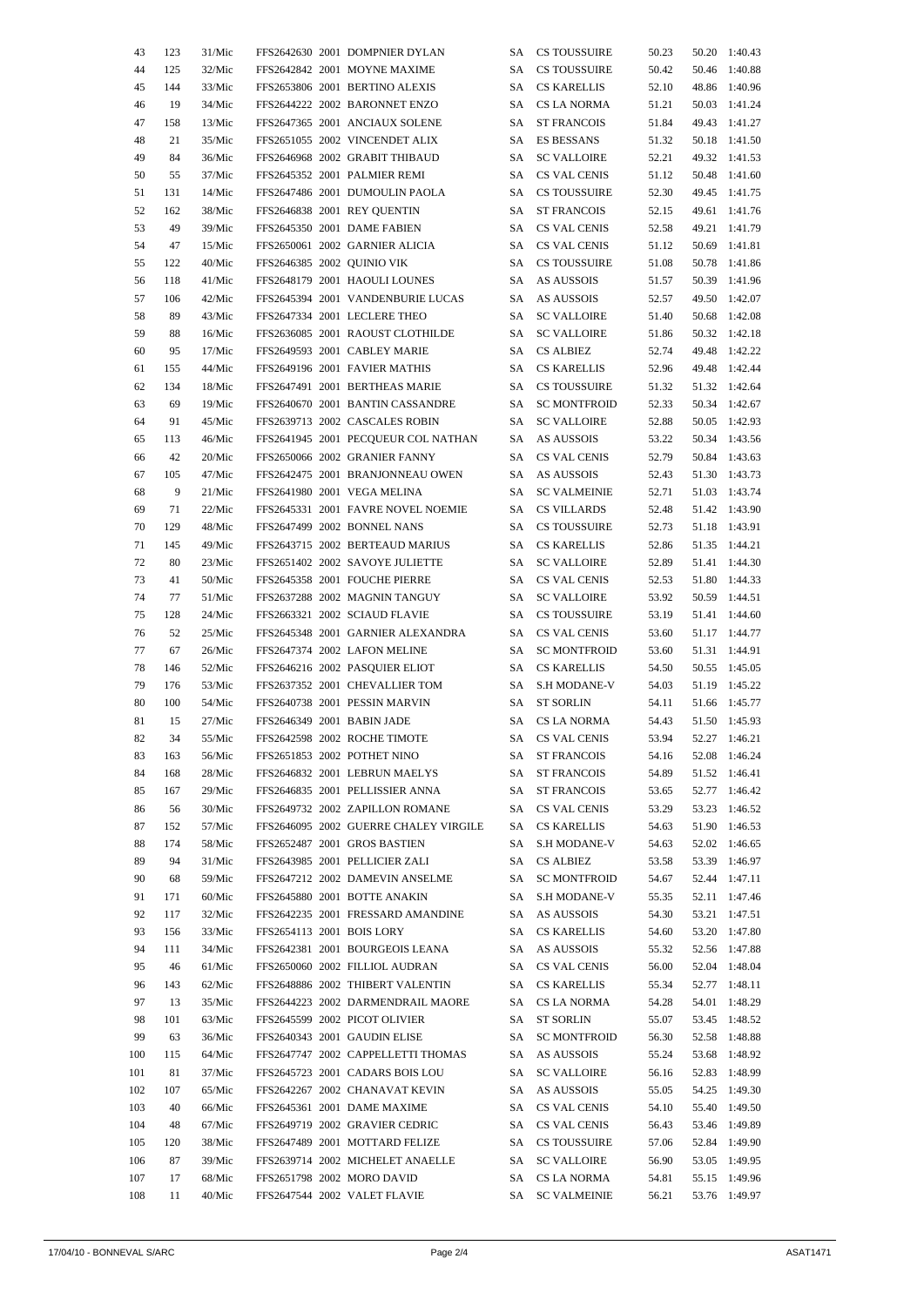| 43     | 123 | 31/Mic |  | FFS2642630 2001 DOMPNIER DYLAN        | SА  | CS TOUSSUIRE        | 50.23 |       | 50.20 1:40.43 |
|--------|-----|--------|--|---------------------------------------|-----|---------------------|-------|-------|---------------|
| 44     | 125 | 32/Mic |  | FFS2642842 2001 MOYNE MAXIME          | SA  | <b>CS TOUSSUIRE</b> | 50.42 | 50.46 | 1:40.88       |
| 45     | 144 | 33/Mic |  | FFS2653806 2001 BERTINO ALEXIS        | SA  | <b>CS KARELLIS</b>  | 52.10 | 48.86 | 1:40.96       |
| 46     | 19  | 34/Mic |  | FFS2644222 2002 BARONNET ENZO         | SA  | CS LA NORMA         | 51.21 | 50.03 | 1:41.24       |
| 47     | 158 | 13/Mic |  | FFS2647365 2001 ANCIAUX SOLENE        | SA  | <b>ST FRANCOIS</b>  | 51.84 | 49.43 | 1:41.27       |
| 48     | 21  | 35/Mic |  | FFS2651055 2002 VINCENDET ALIX        | SA  | ES BESSANS          | 51.32 | 50.18 | 1:41.50       |
| 49     | 84  | 36/Mic |  | FFS2646968 2002 GRABIT THIBAUD        | SA  | <b>SC VALLOIRE</b>  | 52.21 | 49.32 | 1:41.53       |
|        |     |        |  |                                       |     |                     |       |       |               |
| 50     | 55  | 37/Mic |  | FFS2645352 2001 PALMIER REMI          | SA  | CS VAL CENIS        | 51.12 | 50.48 | 1:41.60       |
| 51     | 131 | 14/Mic |  | FFS2647486 2001 DUMOULIN PAOLA        | SA  | CS TOUSSUIRE        | 52.30 | 49.45 | 1:41.75       |
| 52     | 162 | 38/Mic |  | FFS2646838 2001 REY OUENTIN           | SA  | <b>ST FRANCOIS</b>  | 52.15 | 49.61 | 1:41.76       |
| 53     | 49  | 39/Mic |  | FFS2645350 2001 DAME FABIEN           | SA  | CS VAL CENIS        | 52.58 | 49.21 | 1:41.79       |
| 54     | 47  | 15/Mic |  | FFS2650061 2002 GARNIER ALICIA        | SA  | CS VAL CENIS        | 51.12 | 50.69 | 1:41.81       |
| 55     | 122 | 40/Mic |  | FFS2646385 2002 QUINIO VIK            | SA  | <b>CS TOUSSUIRE</b> | 51.08 | 50.78 | 1:41.86       |
| 56     | 118 | 41/Mic |  | FFS2648179 2001 HAOULI LOUNES         | SA  | AS AUSSOIS          | 51.57 | 50.39 | 1:41.96       |
| 57     | 106 | 42/Mic |  | FFS2645394 2001 VANDENBURIE LUCAS     | SA  | AS AUSSOIS          | 52.57 | 49.50 | 1:42.07       |
| 58     | 89  | 43/Mic |  | FFS2647334 2001 LECLERE THEO          | SA  | <b>SC VALLOIRE</b>  | 51.40 | 50.68 | 1:42.08       |
| 59     | 88  | 16/Mic |  | FFS2636085 2001 RAOUST CLOTHILDE      | SA  | <b>SC VALLOIRE</b>  | 51.86 |       | 50.32 1:42.18 |
| 60     | 95  | 17/Mic |  | FFS2649593 2001 CABLEY MARIE          | SA  | <b>CS ALBIEZ</b>    | 52.74 | 49.48 | 1:42.22       |
| 61     | 155 | 44/Mic |  | FFS2649196 2001 FAVIER MATHIS         | SA  | <b>CS KARELLIS</b>  | 52.96 |       | 49.48 1:42.44 |
| 62     | 134 | 18/Mic |  | FFS2647491 2001 BERTHEAS MARIE        | SA  | <b>CS TOUSSUIRE</b> | 51.32 | 51.32 | 1:42.64       |
| 63     | 69  | 19/Mic |  | FFS2640670 2001 BANTIN CASSANDRE      | SA  | <b>SC MONTFROID</b> | 52.33 |       | 50.34 1:42.67 |
| 64     | 91  | 45/Mic |  | FFS2639713 2002 CASCALES ROBIN        |     | <b>SC VALLOIRE</b>  |       |       |               |
|        |     |        |  |                                       | SA  |                     | 52.88 |       | 50.05 1:42.93 |
| 65     | 113 | 46/Mic |  | FFS2641945 2001 PECQUEUR COL NATHAN   | SA  | AS AUSSOIS          | 53.22 |       | 50.34 1:43.56 |
| 66     | 42  | 20/Mic |  | FFS2650066 2002 GRANIER FANNY         | SA  | CS VAL CENIS        | 52.79 | 50.84 | 1:43.63       |
| 67     | 105 | 47/Mic |  | FFS2642475 2001 BRANJONNEAU OWEN      | SA  | AS AUSSOIS          | 52.43 | 51.30 | 1:43.73       |
| 68     | 9   | 21/Mic |  | FFS2641980 2001 VEGA MELINA           | SA  | <b>SC VALMEINIE</b> | 52.71 | 51.03 | 1:43.74       |
| 69     | 71  | 22/Mic |  | FFS2645331 2001 FAVRE NOVEL NOEMIE    | SA  | <b>CS VILLARDS</b>  | 52.48 |       | 51.42 1:43.90 |
| $70\,$ | 129 | 48/Mic |  | FFS2647499 2002 BONNEL NANS           | SA  | <b>CS TOUSSUIRE</b> | 52.73 |       | 51.18 1:43.91 |
| 71     | 145 | 49/Mic |  | FFS2643715 2002 BERTEAUD MARIUS       | SA  | <b>CS KARELLIS</b>  | 52.86 |       | 51.35 1:44.21 |
| 72     | 80  | 23/Mic |  | FFS2651402 2002 SAVOYE JULIETTE       | SA  | <b>SC VALLOIRE</b>  | 52.89 | 51.41 | 1:44.30       |
| 73     | 41  | 50/Mic |  | FFS2645358 2001 FOUCHE PIERRE         | SA  | CS VAL CENIS        | 52.53 |       | 51.80 1:44.33 |
| 74     | 77  | 51/Mic |  | FFS2637288 2002 MAGNIN TANGUY         | SA  | <b>SC VALLOIRE</b>  | 53.92 |       | 50.59 1:44.51 |
| 75     | 128 | 24/Mic |  | FFS2663321 2002 SCIAUD FLAVIE         | SA  | CS TOUSSUIRE        | 53.19 | 51.41 | 1:44.60       |
| 76     | 52  | 25/Mic |  | FFS2645348 2001 GARNIER ALEXANDRA     | SA  | CS VAL CENIS        | 53.60 | 51.17 | 1:44.77       |
| 77     | 67  | 26/Mic |  | FFS2647374 2002 LAFON MELINE          | SA  | <b>SC MONTFROID</b> | 53.60 | 51.31 | 1:44.91       |
| 78     | 146 | 52/Mic |  | FFS2646216 2002 PASQUIER ELIOT        | SA  | <b>CS KARELLIS</b>  | 54.50 |       | 50.55 1:45.05 |
| 79     | 176 | 53/Mic |  | FFS2637352 2001 CHEVALLIER TOM        | SA  | S.H MODANE-V        | 54.03 |       | 51.19 1:45.22 |
|        | 100 |        |  |                                       |     |                     |       |       |               |
| 80     |     | 54/Mic |  | FFS2640738 2001 PESSIN MARVIN         | SA  | <b>ST SORLIN</b>    | 54.11 |       | 51.66 1:45.77 |
| 81     | 15  | 27/Mic |  | FFS2646349 2001 BABIN JADE            | SA  | <b>CS LA NORMA</b>  | 54.43 |       | 51.50 1:45.93 |
| 82     | 34  | 55/Mic |  | FFS2642598 2002 ROCHE TIMOTE          |     | SA CS VAL CENIS     | 53.94 |       | 52.27 1:46.21 |
| 83     | 163 | 56/Mic |  | FFS2651853 2002 POTHET NINO           | SA  | <b>ST FRANCOIS</b>  | 54.16 |       | 52.08 1:46.24 |
| 84     | 168 | 28/Mic |  | FFS2646832 2001 LEBRUN MAELYS         | SA  | <b>ST FRANCOIS</b>  | 54.89 |       | 51.52 1:46.41 |
| 85     | 167 | 29/Mic |  | FFS2646835 2001 PELLISSIER ANNA       | SA  | <b>ST FRANCOIS</b>  | 53.65 |       | 52.77 1:46.42 |
| 86     | 56  | 30/Mic |  | FFS2649732 2002 ZAPILLON ROMANE       |     | SA CS VAL CENIS     | 53.29 |       | 53.23 1:46.52 |
| 87     | 152 | 57/Mic |  | FFS2646095 2002 GUERRE CHALEY VIRGILE |     | SA CS KARELLIS      | 54.63 |       | 51.90 1:46.53 |
| 88     | 174 | 58/Mic |  | FFS2652487 2001 GROS BASTIEN          | SA  | <b>S.H MODANE-V</b> | 54.63 |       | 52.02 1:46.65 |
| 89     | 94  | 31/Mic |  | FFS2643985 2001 PELLICIER ZALI        | SA  | <b>CS ALBIEZ</b>    | 53.58 |       | 53.39 1:46.97 |
| 90     | 68  | 59/Mic |  | FFS2647212 2002 DAMEVIN ANSELME       | SA  | <b>SC MONTFROID</b> | 54.67 |       | 52.44 1:47.11 |
| 91     | 171 | 60/Mic |  | FFS2645880 2001 BOTTE ANAKIN          | SA  | S.H MODANE-V        | 55.35 |       | 52.11 1:47.46 |
| 92     | 117 | 32/Mic |  | FFS2642235 2001 FRESSARD AMANDINE     | SA  | <b>AS AUSSOIS</b>   | 54.30 |       | 53.21 1:47.51 |
| 93     | 156 | 33/Mic |  | FFS2654113 2001 BOIS LORY             | SA  | <b>CS KARELLIS</b>  | 54.60 |       | 53.20 1:47.80 |
| 94     | 111 | 34/Mic |  | FFS2642381 2001 BOURGEOIS LEANA       | SA  | AS AUSSOIS          | 55.32 |       | 52.56 1:47.88 |
| 95     | 46  | 61/Mic |  | FFS2650060 2002 FILLIOL AUDRAN        |     | SA CS VAL CENIS     | 56.00 |       | 52.04 1:48.04 |
|        |     |        |  |                                       |     |                     |       |       |               |
| 96     | 143 | 62/Mic |  | FFS2648886 2002 THIBERT VALENTIN      |     | SA CS KARELLIS      | 55.34 |       | 52.77 1:48.11 |
| 97     | 13  | 35/Mic |  | FFS2644223 2002 DARMENDRAIL MAORE     |     | SA CS LA NORMA      | 54.28 |       | 54.01 1:48.29 |
| 98     | 101 | 63/Mic |  | FFS2645599 2002 PICOT OLIVIER         | SA  | ST SORLIN           | 55.07 |       | 53.45 1:48.52 |
| 99     | 63  | 36/Mic |  | FFS2640343 2001 GAUDIN ELISE          | SA  | <b>SC MONTFROID</b> | 56.30 |       | 52.58 1:48.88 |
| 100    | 115 | 64/Mic |  | FFS2647747 2002 CAPPELLETTI THOMAS    | SA  | <b>AS AUSSOIS</b>   | 55.24 |       | 53.68 1:48.92 |
| 101    | 81  | 37/Mic |  | FFS2645723 2001 CADARS BOIS LOU       | SA  | <b>SC VALLOIRE</b>  | 56.16 |       | 52.83 1:48.99 |
| 102    | 107 | 65/Mic |  | FFS2642267 2002 CHANAVAT KEVIN        | SA  | AS AUSSOIS          | 55.05 |       | 54.25 1:49.30 |
| 103    | 40  | 66/Mic |  | FFS2645361 2001 DAME MAXIME           | SA  | CS VAL CENIS        | 54.10 |       | 55.40 1:49.50 |
| 104    | 48  | 67/Mic |  | FFS2649719 2002 GRAVIER CEDRIC        | SA  | CS VAL CENIS        | 56.43 |       | 53.46 1:49.89 |
| 105    | 120 | 38/Mic |  | FFS2647489 2001 MOTTARD FELIZE        | SA. | <b>CS TOUSSUIRE</b> | 57.06 |       | 52.84 1:49.90 |
| 106    | 87  | 39/Mic |  | FFS2639714 2002 MICHELET ANAELLE      | SA  | <b>SC VALLOIRE</b>  | 56.90 |       | 53.05 1:49.95 |
| 107    | 17  | 68/Mic |  | FFS2651798 2002 MORO DAVID            | SA  | CS LA NORMA         | 54.81 |       | 55.15 1:49.96 |
| 108    | 11  | 40/Mic |  | FFS2647544 2002 VALET FLAVIE          | SA  | <b>SC VALMEINIE</b> | 56.21 |       | 53.76 1:49.97 |
|        |     |        |  |                                       |     |                     |       |       |               |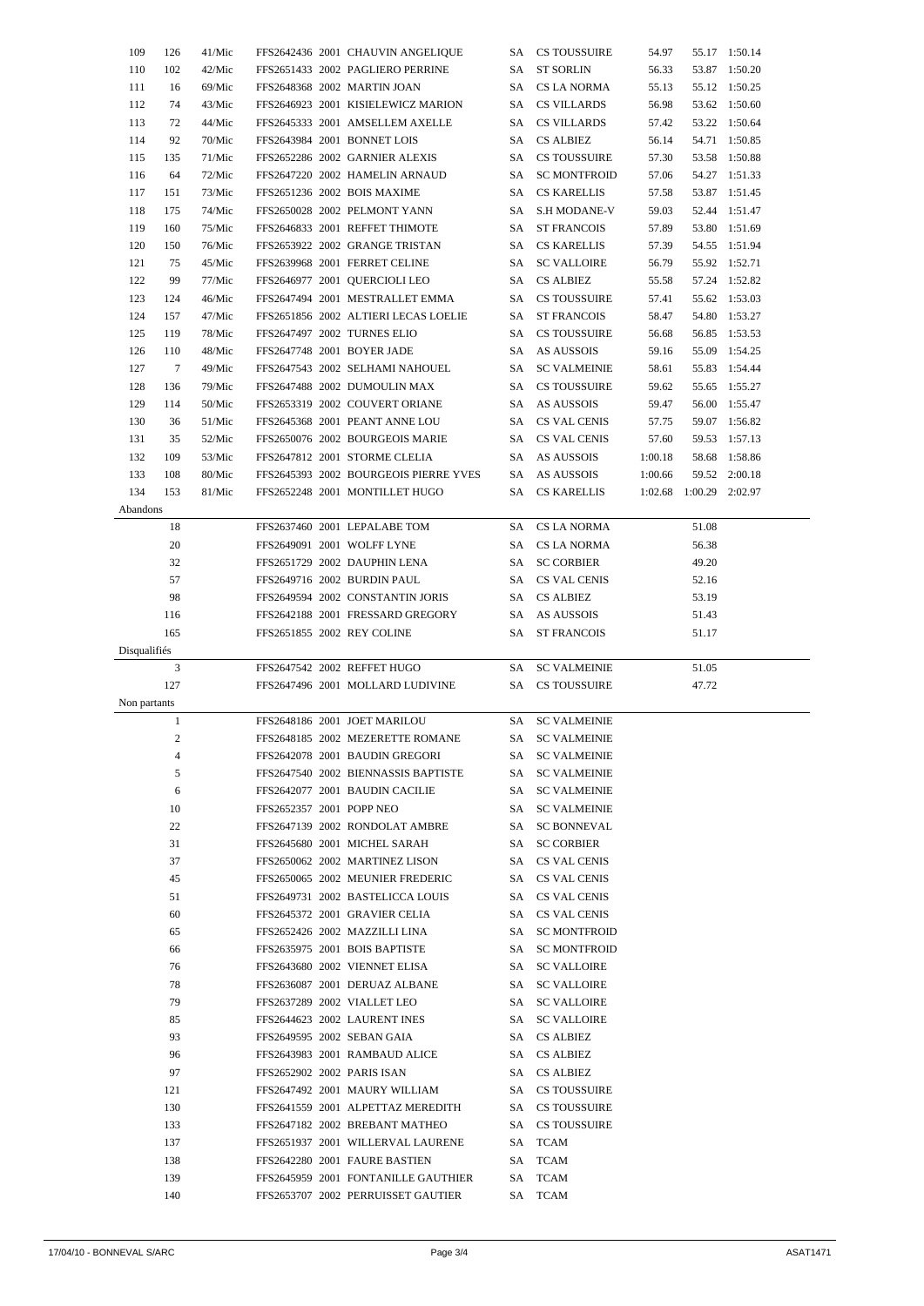| 109          | 126              | 41/Mic |                          | FFS2642436 2001 CHAUVIN ANGELIQUE                                         |      | SA CS TOUSSUIRE    | 54.97   |                         | 55.17 1:50.14 |  |
|--------------|------------------|--------|--------------------------|---------------------------------------------------------------------------|------|--------------------|---------|-------------------------|---------------|--|
| 110          | 102              | 42/Mic |                          | FFS2651433 2002 PAGLIERO PERRINE                                          | SA - | <b>ST SORLIN</b>   | 56.33   |                         | 53.87 1:50.20 |  |
| 111          | 16               | 69/Mic |                          | FFS2648368 2002 MARTIN JOAN                                               |      | SA CS LA NORMA     | 55.13   |                         | 55.12 1:50.25 |  |
| 112          | 74               | 43/Mic |                          | FFS2646923 2001 KISIELEWICZ MARION                                        |      | SA CS VILLARDS     | 56.98   |                         | 53.62 1:50.60 |  |
| 113          | 72               | 44/Mic |                          | FFS2645333 2001 AMSELLEM AXELLE                                           |      | SA CS VILLARDS     | 57.42   |                         | 53.22 1:50.64 |  |
| 114          | 92               | 70/Mic |                          | FFS2643984 2001 BONNET LOIS                                               |      | SA CS ALBIEZ       | 56.14   |                         | 54.71 1:50.85 |  |
| 115          | 135              | 71/Mic |                          | FFS2652286 2002 GARNIER ALEXIS                                            |      | SA CS TOUSSUIRE    | 57.30   |                         | 53.58 1:50.88 |  |
| 116          | 64               | 72/Mic |                          | FFS2647220 2002 HAMELIN ARNAUD                                            |      | SA SC MONTFROID    | 57.06   |                         | 54.27 1:51.33 |  |
| 117          | 151              | 73/Mic |                          | FFS2651236 2002 BOIS MAXIME                                               |      | SA CS KARELLIS     | 57.58   |                         | 53.87 1:51.45 |  |
| 118          | 175              | 74/Mic |                          | FFS2650028 2002 PELMONT YANN                                              |      | SA S.H MODANE-V    | 59.03   |                         | 52.44 1:51.47 |  |
| 119          | 160              | 75/Mic |                          | FFS2646833 2001 REFFET THIMOTE                                            |      | SA ST FRANCOIS     | 57.89   |                         | 53.80 1:51.69 |  |
| 120          | 150              | 76/Mic |                          | FFS2653922 2002 GRANGE TRISTAN                                            |      | SA CS KARELLIS     | 57.39   |                         | 54.55 1:51.94 |  |
| 121          | 75               | 45/Mic |                          | FFS2639968 2001 FERRET CELINE                                             |      | SA SC VALLOIRE     | 56.79   |                         | 55.92 1:52.71 |  |
| 122          | 99               | 77/Mic |                          | FFS2646977 2001 QUERCIOLI LEO                                             |      | SA CS ALBIEZ       | 55.58   |                         | 57.24 1:52.82 |  |
| 123          | 124              | 46/Mic |                          | FFS2647494 2001 MESTRALLET EMMA                                           |      | SA CS TOUSSUIRE    | 57.41   |                         | 55.62 1:53.03 |  |
|              |                  |        |                          |                                                                           |      |                    |         |                         |               |  |
| 124          | 157              | 47/Mic |                          | FFS2651856 2002 ALTIERI LECAS LOELIE                                      |      | SA ST FRANCOIS     | 58.47   |                         | 54.80 1:53.27 |  |
| 125          | 119              | 78/Mic |                          | FFS2647497 2002 TURNES ELIO                                               |      | SA CS TOUSSUIRE    | 56.68   |                         | 56.85 1:53.53 |  |
| 126          | 110              | 48/Mic |                          | FFS2647748 2001 BOYER JADE                                                |      | SA AS AUSSOIS      | 59.16   |                         | 55.09 1:54.25 |  |
| 127          | $\overline{7}$   | 49/Mic |                          | FFS2647543 2002 SELHAMI NAHOUEL                                           |      | SA SC VALMEINIE    | 58.61   |                         | 55.83 1:54.44 |  |
| 128          | 136              | 79/Mic |                          | FFS2647488 2002 DUMOULIN MAX                                              |      | SA CS TOUSSUIRE    | 59.62   |                         | 55.65 1:55.27 |  |
| 129          | 114              | 50/Mic |                          | FFS2653319 2002 COUVERT ORIANE                                            |      | SA AS AUSSOIS      | 59.47   |                         | 56.00 1:55.47 |  |
| 130          | 36               | 51/Mic |                          | FFS2645368 2001 PEANT ANNE LOU                                            |      | SA CS VAL CENIS    | 57.75   |                         | 59.07 1:56.82 |  |
| 131          | 35               | 52/Mic |                          | FFS2650076 2002 BOURGEOIS MARIE                                           |      | SA CS VAL CENIS    | 57.60   |                         | 59.53 1:57.13 |  |
| 132          | 109              | 53/Mic |                          | FFS2647812 2001 STORME CLELIA                                             |      | SA AS AUSSOIS      | 1:00.18 |                         | 58.68 1:58.86 |  |
| 133          | 108              | 80/Mic |                          | FFS2645393 2002 BOURGEOIS PIERRE YVES                                     |      | SA AS AUSSOIS      | 1:00.66 |                         | 59.52 2:00.18 |  |
| 134          | 153              | 81/Mic |                          | FFS2652248 2001 MONTILLET HUGO                                            | SA   | CS KARELLIS        |         | 1:02.68 1:00.29 2:02.97 |               |  |
| Abandons     |                  |        |                          |                                                                           |      |                    |         |                         |               |  |
|              | 18               |        |                          | FFS2637460 2001 LEPALABE TOM                                              |      | SA CS LA NORMA     |         | 51.08                   |               |  |
|              | 20               |        |                          | FFS2649091 2001 WOLFF LYNE                                                |      | SA CS LA NORMA     |         | 56.38                   |               |  |
|              | 32               |        |                          | FFS2651729 2002 DAUPHIN LENA                                              |      | SA SC CORBIER      |         | 49.20                   |               |  |
|              | 57               |        |                          | FFS2649716 2002 BURDIN PAUL                                               |      | SA CS VAL CENIS    |         | 52.16                   |               |  |
|              | 98               |        |                          | FFS2649594 2002 CONSTANTIN JORIS                                          |      | SA CS ALBIEZ       |         | 53.19                   |               |  |
|              | 116              |        |                          | FFS2642188 2001 FRESSARD GREGORY                                          |      | SA AS AUSSOIS      |         | 51.43                   |               |  |
|              |                  |        |                          |                                                                           |      |                    |         |                         |               |  |
|              |                  |        |                          |                                                                           |      |                    |         |                         |               |  |
|              | 165              |        |                          | FFS2651855 2002 REY COLINE                                                | SA - | ST FRANCOIS        |         | 51.17                   |               |  |
| Disqualifiés |                  |        |                          |                                                                           |      |                    |         |                         |               |  |
|              | 3                |        |                          | FFS2647542 2002 REFFET HUGO                                               |      | SA SC VALMEINIE    |         | 51.05                   |               |  |
|              | 127              |        |                          | FFS2647496 2001 MOLLARD LUDIVINE                                          |      | SA CS TOUSSUIRE    |         | 47.72                   |               |  |
| Non partants |                  |        |                          |                                                                           |      |                    |         |                         |               |  |
|              | $\mathbf{1}$     |        |                          | FFS2648186 2001 JOET MARILOU                                              |      | SA SC VALMEINIE    |         |                         |               |  |
|              | $\boldsymbol{2}$ |        |                          | FFS2648185 2002 MEZERETTE ROMANE                                          |      | SA SC VALMEINIE    |         |                         |               |  |
|              | 4                |        |                          | FFS2642078 2001 BAUDIN GREGORI                                            |      | SA SC VALMEINIE    |         |                         |               |  |
|              | 5                |        |                          | FFS2647540 2002 BIENNASSIS BAPTISTE                                       |      | SA SC VALMEINIE    |         |                         |               |  |
|              | 6                |        |                          | FFS2642077 2001 BAUDIN CACILIE                                            |      | SA SC VALMEINIE    |         |                         |               |  |
|              | 10               |        | FFS2652357 2001 POPP NEO |                                                                           |      | SA SC VALMEINIE    |         |                         |               |  |
|              | 22               |        |                          | FFS2647139 2002 RONDOLAT AMBRE                                            |      | SA SC BONNEVAL     |         |                         |               |  |
|              | 31               |        |                          | FFS2645680 2001 MICHEL SARAH                                              |      | SA SC CORBIER      |         |                         |               |  |
|              | 37               |        |                          | FFS2650062 2002 MARTINEZ LISON                                            |      | SA CS VAL CENIS    |         |                         |               |  |
|              | 45               |        |                          | FFS2650065 2002 MEUNIER FREDERIC                                          |      | SA CS VAL CENIS    |         |                         |               |  |
|              | 51               |        |                          | FFS2649731 2002 BASTELICCA LOUIS                                          |      | SA CS VAL CENIS    |         |                         |               |  |
|              | 60               |        |                          | FFS2645372 2001 GRAVIER CELIA                                             |      | SA CS VAL CENIS    |         |                         |               |  |
|              | 65               |        |                          | FFS2652426 2002 MAZZILLI LINA                                             |      | SA SC MONTFROID    |         |                         |               |  |
|              | 66               |        |                          | FFS2635975 2001 BOIS BAPTISTE                                             |      | SA SC MONTFROID    |         |                         |               |  |
|              | 76               |        |                          | FFS2643680 2002 VIENNET ELISA                                             |      | SA SC VALLOIRE     |         |                         |               |  |
|              | 78               |        |                          | FFS2636087 2001 DERUAZ ALBANE                                             |      | SA SC VALLOIRE     |         |                         |               |  |
|              | 79               |        |                          | FFS2637289 2002 VIALLET LEO                                               |      | SA SC VALLOIRE     |         |                         |               |  |
|              | 85               |        |                          | FFS2644623 2002 LAURENT INES                                              |      | SA SC VALLOIRE     |         |                         |               |  |
|              |                  |        |                          |                                                                           |      |                    |         |                         |               |  |
|              | 93               |        |                          | FFS2649595 2002 SEBAN GAIA                                                |      | SA CS ALBIEZ       |         |                         |               |  |
|              | 96               |        |                          | FFS2643983 2001 RAMBAUD ALICE                                             |      | SA CS ALBIEZ       |         |                         |               |  |
|              | 97               |        |                          | FFS2652902 2002 PARIS ISAN                                                |      | SA CS ALBIEZ       |         |                         |               |  |
|              | 121              |        |                          | FFS2647492 2001 MAURY WILLIAM                                             |      | SA CS TOUSSUIRE    |         |                         |               |  |
|              | 130              |        |                          | FFS2641559 2001 ALPETTAZ MEREDITH                                         |      | SA CS TOUSSUIRE    |         |                         |               |  |
|              | 133              |        |                          | FFS2647182 2002 BREBANT MATHEO                                            |      | SA CS TOUSSUIRE    |         |                         |               |  |
|              | 137              |        |                          | FFS2651937 2001 WILLERVAL LAURENE                                         |      | SA TCAM            |         |                         |               |  |
|              | 138              |        |                          | FFS2642280 2001 FAURE BASTIEN                                             |      | SA TCAM            |         |                         |               |  |
|              | 139<br>140       |        |                          | FFS2645959 2001 FONTANILLE GAUTHIER<br>FFS2653707 2002 PERRUISSET GAUTIER |      | SA TCAM<br>SA TCAM |         |                         |               |  |